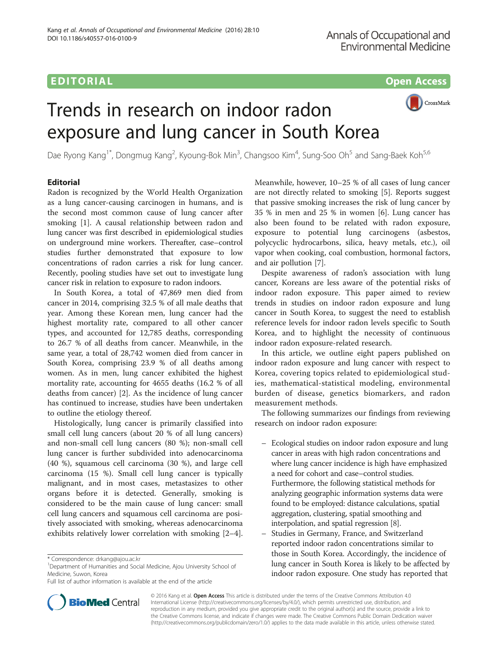

CrossMark

# Trends in research on indoor radon exposure and lung cancer in South Korea

Dae Ryong Kang<sup>1\*</sup>, Dongmug Kang<sup>2</sup>, Kyoung-Bok Min<sup>3</sup>, Changsoo Kim<sup>4</sup>, Sung-Soo Oh<sup>5</sup> and Sang-Baek Koh<sup>5,6</sup>

## Editorial

Radon is recognized by the World Health Organization as a lung cancer-causing carcinogen in humans, and is the second most common cause of lung cancer after smoking [\[1](#page-1-0)]. A causal relationship between radon and lung cancer was first described in epidemiological studies on underground mine workers. Thereafter, case–control studies further demonstrated that exposure to low concentrations of radon carries a risk for lung cancer. Recently, pooling studies have set out to investigate lung cancer risk in relation to exposure to radon indoors.

In South Korea, a total of 47,869 men died from cancer in 2014, comprising 32.5 % of all male deaths that year. Among these Korean men, lung cancer had the highest mortality rate, compared to all other cancer types, and accounted for 12,785 deaths, corresponding to 26.7 % of all deaths from cancer. Meanwhile, in the same year, a total of 28,742 women died from cancer in South Korea, comprising 23.9 % of all deaths among women. As in men, lung cancer exhibited the highest mortality rate, accounting for 4655 deaths (16.2 % of all deaths from cancer) [[2\]](#page-1-0). As the incidence of lung cancer has continued to increase, studies have been undertaken to outline the etiology thereof.

Histologically, lung cancer is primarily classified into small cell lung cancers (about 20 % of all lung cancers) and non-small cell lung cancers (80 %); non-small cell lung cancer is further subdivided into adenocarcinoma (40 %), squamous cell carcinoma (30 %), and large cell carcinoma (15 %). Small cell lung cancer is typically malignant, and in most cases, metastasizes to other organs before it is detected. Generally, smoking is considered to be the main cause of lung cancer: small cell lung cancers and squamous cell carcinoma are positively associated with smoking, whereas adenocarcinoma exhibits relatively lower correlation with smoking [\[2](#page-1-0)–[4](#page-1-0)].

Meanwhile, however, 10–25 % of all cases of lung cancer are not directly related to smoking [\[5\]](#page-1-0). Reports suggest that passive smoking increases the risk of lung cancer by 35 % in men and 25 % in women [\[6](#page-1-0)]. Lung cancer has also been found to be related with radon exposure, exposure to potential lung carcinogens (asbestos, polycyclic hydrocarbons, silica, heavy metals, etc.), oil vapor when cooking, coal combustion, hormonal factors, and air pollution [\[7](#page-1-0)].

Despite awareness of radon's association with lung cancer, Koreans are less aware of the potential risks of indoor radon exposure. This paper aimed to review trends in studies on indoor radon exposure and lung cancer in South Korea, to suggest the need to establish reference levels for indoor radon levels specific to South Korea, and to highlight the necessity of continuous indoor radon exposure-related research.

In this article, we outline eight papers published on indoor radon exposure and lung cancer with respect to Korea, covering topics related to epidemiological studies, mathematical-statistical modeling, environmental burden of disease, genetics biomarkers, and radon measurement methods.

The following summarizes our findings from reviewing research on indoor radon exposure:

- Ecological studies on indoor radon exposure and lung cancer in areas with high radon concentrations and where lung cancer incidence is high have emphasized a need for cohort and case–control studies. Furthermore, the following statistical methods for analyzing geographic information systems data were found to be employed: distance calculations, spatial aggregation, clustering, spatial smoothing and interpolation, and spatial regression [\[8\]](#page-1-0).
- Studies in Germany, France, and Switzerland reported indoor radon concentrations similar to those in South Korea. Accordingly, the incidence of lung cancer in South Korea is likely to be affected by indoor radon exposure. One study has reported that



© 2016 Kang et al. Open Access This article is distributed under the terms of the Creative Commons Attribution 4.0 International License [\(http://creativecommons.org/licenses/by/4.0/](http://creativecommons.org/licenses/by/4.0/)), which permits unrestricted use, distribution, and reproduction in any medium, provided you give appropriate credit to the original author(s) and the source, provide a link to the Creative Commons license, and indicate if changes were made. The Creative Commons Public Domain Dedication waiver [\(http://creativecommons.org/publicdomain/zero/1.0/](http://creativecommons.org/publicdomain/zero/1.0/)) applies to the data made available in this article, unless otherwise stated.

<sup>\*</sup> Correspondence: [drkang@ajou.ac.kr](mailto:drkang@ajou.ac.kr) <sup>1</sup>

<sup>&</sup>lt;sup>1</sup>Department of Humanities and Social Medicine, Ajou University School of Medicine, Suwon, Korea

Full list of author information is available at the end of the article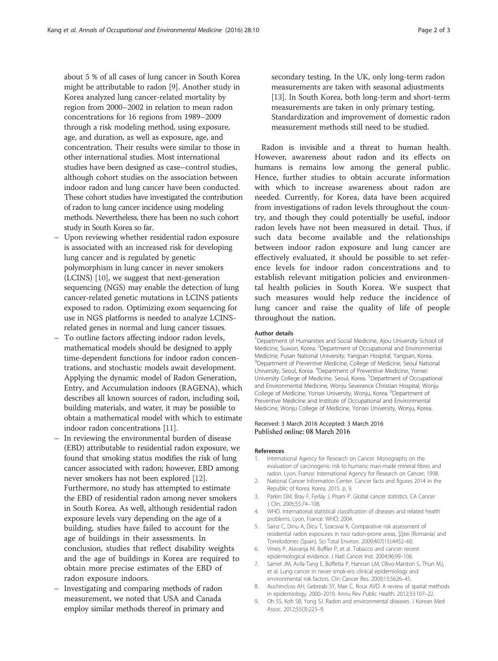<span id="page-1-0"></span>about 5 % of all cases of lung cancer in South Korea might be attributable to radon [9]. Another study in Korea analyzed lung cancer-related mortality by region from 2000–2002 in relation to mean radon concentrations for 16 regions from 1989–2009 through a risk modeling method, using exposure, age, and duration, as well as exposure, age, and concentration. Their results were similar to those in other international studies. Most international studies have been designed as case–control studies, although cohort studies on the association between indoor radon and lung cancer have been conducted. These cohort studies have investigated the contribution of radon to lung cancer incidence using modeling methods. Nevertheless, there has been no such cohort study in South Korea so far.

- Upon reviewing whether residential radon exposure is associated with an increased risk for developing lung cancer and is regulated by genetic polymorphism in lung cancer in never smokers (LCINS) [[10](#page-2-0)], we suggest that next-generation sequencing (NGS) may enable the detection of lung cancer-related genetic mutations in LCINS patients exposed to radon. Optimizing exom sequencing for use in NGS platforms is needed to analyze LCINSrelated genes in normal and lung cancer tissues.
- To outline factors affecting indoor radon levels, mathematical models should be designed to apply time-dependent functions for indoor radon concentrations, and stochastic models await development. Applying the dynamic model of Radon Generation, Entry, and Accumulation indoors (RAGENA), which describes all known sources of radon, including soil, building materials, and water, it may be possible to obtain a mathematical model with which to estimate indoor radon concentrations [\[11\]](#page-2-0).
- In reviewing the environmental burden of disease (EBD) attributable to residential radon exposure, we found that smoking status modifies the risk of lung cancer associated with radon; however, EBD among never smokers has not been explored [\[12\]](#page-2-0). Furthermore, no study has attempted to estimate the EBD of residential radon among never smokers in South Korea. As well, although residential radon exposure levels vary depending on the age of a building, studies have failed to account for the age of buildings in their assessments. In conclusion, studies that reflect disability weights and the age of buildings in Korea are required to obtain more precise estimates of the EBD of radon exposure indoors.
- Investigating and comparing methods of radon measurement, we noted that USA and Canada employ similar methods thereof in primary and

secondary testing. In the UK, only long-term radon measurements are taken with seasonal adjustments [[13](#page-2-0)]. In South Korea, both long-term and short-term measurements are taken in only primary testing. Standardization and improvement of domestic radon measurement methods still need to be studied.

Radon is invisible and a threat to human health. However, awareness about radon and its effects on humans is remains low among the general public. Hence, further studies to obtain accurate information with which to increase awareness about radon are needed. Currently, for Korea, data have been acquired from investigations of radon levels throughout the country, and though they could potentially be useful, indoor radon levels have not been measured in detail. Thus, if such data become available and the relationships between indoor radon exposure and lung cancer are effectively evaluated, it should be possible to set reference levels for indoor radon concentrations and to establish relevant mitigation policies and environmental health policies in South Korea. We suspect that such measures would help reduce the incidence of lung cancer and raise the quality of life of people throughout the nation.

#### Author details

<sup>1</sup>Department of Humanities and Social Medicine, Ajou University School of Medicine, Suwon, Korea. <sup>2</sup> Department of Occupational and Environmental Medicine, Pusan National University, Yangsan Hospital, Yangsan, Korea. <sup>3</sup>Department of Preventive Medicine, College of Medicine, Seoul National University, Seoul, Korea. <sup>4</sup> Department of Preventive Medicine, Yonsei University College of Medicine, Seoul, Korea. <sup>5</sup>Department of Occupational and Environmental Medicine, Wonju Severance Christian Hospital, Wonju College of Medicine, Yonsei University, Wonju, Korea. <sup>6</sup>Department of Preventive Medicine and Institute of Occupational and Environmental Medicine, Wonju College of Medicine, Yonsei University, Wonju, Korea.

### Received: 3 March 2016 Accepted: 3 March 2016 Published online: 08 March 2016

#### References

- 1. International Agency for Research on Cancer. Monographs on the evaluation of carcinogenic risk to humans: man-made mineral fibres and radon. Lyon, France: International Agency for Research on Cancer; 1998.
- 2. National Cancer Information Center. Cancer facts and figures 2014 in the Republic of Korea. Korea. 2015. p. 9.
- 3. Parkin DM, Bray F, Ferlay J, Pisani P. Global cancer statistics. CA Cancer J Clin. 2005;55:74–108.
- 4. WHO. International statistical classification of diseases and related health problems. Lyon, France: WHO; 2004.
- 5. Sainz C, Dinu A, Dicu T, Szacsvai K. Comparative risk assessment of residential radon exposures in two radon-prone areas, ŞŞtei (Romania) and Torrelodones (Spain). Sci Total Environ. 2009;407(15):4452–60.
- 6. Vineis P, Alavanja M, Buffler P, et al. Tobacco and cancer: recent epidemiological evidence. J Natl Cancer Inst. 2004;96:99–106.
- 7. Samet JM, Avila-Tang E, Boffetta P, Hannan LM, Olivo-Marston S, Thun MJ, et al. Lung cancer in never smok-ers: clinical epidemiology and environmental risk factors. Clin Cancer Res. 2009;15:5626–45.
- 8. Auchincloss AH, Gebreab SY, Mair C, Roux AVD. A review of spatial methods in epidemiology, 2000–2010. Annu Rev Public Health. 2012;33:107–22.
- 9. Oh SS, Koh SB, Yong SJ. Radon and environmental diseases. J Korean Med Assoc. 2012;55(3):223–9.